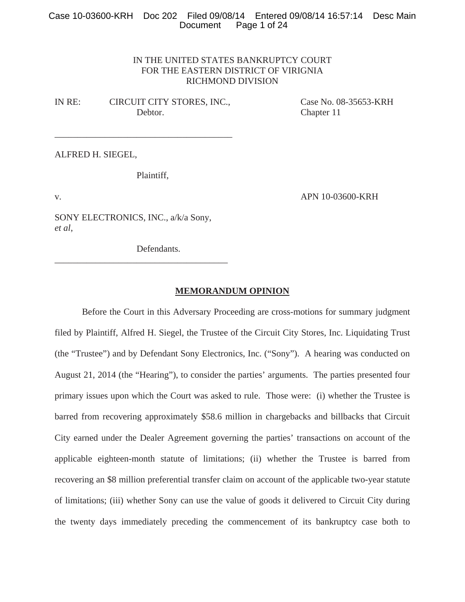# Case 10-03600-KRH Doc 202 Filed 09/08/14 Entered 09/08/14 16:57:14 Desc Main Page 1 of 24

# IN THE UNITED STATES BANKRUPTCY COURT FOR THE EASTERN DISTRICT OF VIRIGNIA RICHMOND DIVISION

IN RE: CIRCUIT CITY STORES, INC., Case No. 08-35653-KRH Debtor. Chapter 11

\_\_\_\_\_\_\_\_\_\_\_\_\_\_\_\_\_\_\_\_\_\_\_\_\_\_\_\_\_\_\_\_\_\_\_\_\_\_\_

ALFRED H. SIEGEL,

Plaintiff,

v. **APN 10-03600-KRH** 

SONY ELECTRONICS, INC., a/k/a Sony, *et al*,

\_\_\_\_\_\_\_\_\_\_\_\_\_\_\_\_\_\_\_\_\_\_\_\_\_\_\_\_\_\_\_\_\_\_\_\_\_\_

Defendants.

# **MEMORANDUM OPINION**

 Before the Court in this Adversary Proceeding are cross-motions for summary judgment filed by Plaintiff, Alfred H. Siegel, the Trustee of the Circuit City Stores, Inc. Liquidating Trust (the "Trustee") and by Defendant Sony Electronics, Inc. ("Sony"). A hearing was conducted on August 21, 2014 (the "Hearing"), to consider the parties' arguments. The parties presented four primary issues upon which the Court was asked to rule. Those were: (i) whether the Trustee is barred from recovering approximately \$58.6 million in chargebacks and billbacks that Circuit City earned under the Dealer Agreement governing the parties' transactions on account of the applicable eighteen-month statute of limitations; (ii) whether the Trustee is barred from recovering an \$8 million preferential transfer claim on account of the applicable two-year statute of limitations; (iii) whether Sony can use the value of goods it delivered to Circuit City during the twenty days immediately preceding the commencement of its bankruptcy case both to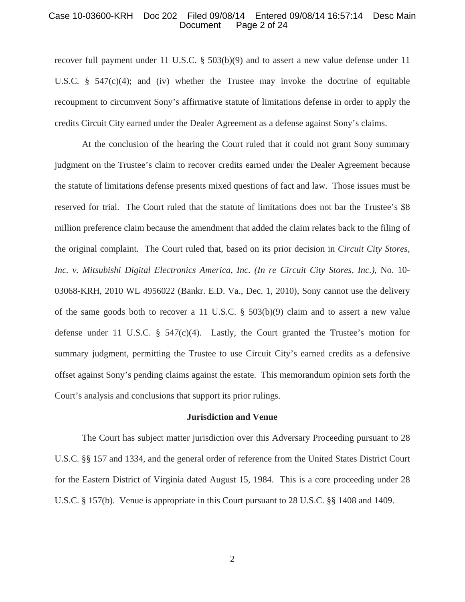#### Case 10-03600-KRH Doc 202 Filed 09/08/14 Entered 09/08/14 16:57:14 Desc Main Page 2 of 24

recover full payment under 11 U.S.C. § 503(b)(9) and to assert a new value defense under 11 U.S.C.  $\frac{8}{3}$  547(c)(4); and (iv) whether the Trustee may invoke the doctrine of equitable recoupment to circumvent Sony's affirmative statute of limitations defense in order to apply the credits Circuit City earned under the Dealer Agreement as a defense against Sony's claims.

 At the conclusion of the hearing the Court ruled that it could not grant Sony summary judgment on the Trustee's claim to recover credits earned under the Dealer Agreement because the statute of limitations defense presents mixed questions of fact and law. Those issues must be reserved for trial. The Court ruled that the statute of limitations does not bar the Trustee's \$8 million preference claim because the amendment that added the claim relates back to the filing of the original complaint. The Court ruled that, based on its prior decision in *Circuit City Stores, Inc. v. Mitsubishi Digital Electronics America, Inc. (In re Circuit City Stores, Inc.)*, No. 10- 03068-KRH, 2010 WL 4956022 (Bankr. E.D. Va., Dec. 1, 2010), Sony cannot use the delivery of the same goods both to recover a 11 U.S.C. § 503(b)(9) claim and to assert a new value defense under 11 U.S.C.  $\S$  547(c)(4). Lastly, the Court granted the Trustee's motion for summary judgment, permitting the Trustee to use Circuit City's earned credits as a defensive offset against Sony's pending claims against the estate. This memorandum opinion sets forth the Court's analysis and conclusions that support its prior rulings.

#### **Jurisdiction and Venue**

The Court has subject matter jurisdiction over this Adversary Proceeding pursuant to 28 U.S.C. §§ 157 and 1334, and the general order of reference from the United States District Court for the Eastern District of Virginia dated August 15, 1984. This is a core proceeding under 28 U.S.C. § 157(b). Venue is appropriate in this Court pursuant to 28 U.S.C. §§ 1408 and 1409.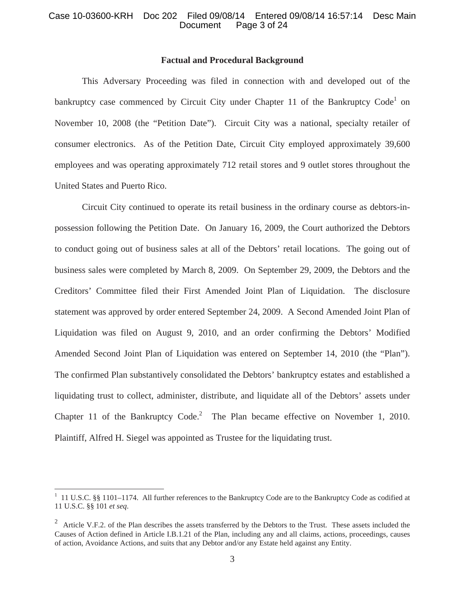# Case 10-03600-KRH Doc 202 Filed 09/08/14 Entered 09/08/14 16:57:14 Desc Main Page 3 of 24

### **Factual and Procedural Background**

 This Adversary Proceeding was filed in connection with and developed out of the bankruptcy case commenced by Circuit City under Chapter 11 of the Bankruptcy Code<sup>1</sup> on November 10, 2008 (the "Petition Date"). Circuit City was a national, specialty retailer of consumer electronics. As of the Petition Date, Circuit City employed approximately 39,600 employees and was operating approximately 712 retail stores and 9 outlet stores throughout the United States and Puerto Rico.

Circuit City continued to operate its retail business in the ordinary course as debtors-inpossession following the Petition Date. On January 16, 2009, the Court authorized the Debtors to conduct going out of business sales at all of the Debtors' retail locations. The going out of business sales were completed by March 8, 2009. On September 29, 2009, the Debtors and the Creditors' Committee filed their First Amended Joint Plan of Liquidation. The disclosure statement was approved by order entered September 24, 2009. A Second Amended Joint Plan of Liquidation was filed on August 9, 2010, and an order confirming the Debtors' Modified Amended Second Joint Plan of Liquidation was entered on September 14, 2010 (the "Plan"). The confirmed Plan substantively consolidated the Debtors' bankruptcy estates and established a liquidating trust to collect, administer, distribute, and liquidate all of the Debtors' assets under Chapter 11 of the Bankruptcy Code.<sup>2</sup> The Plan became effective on November 1, 2010. Plaintiff, Alfred H. Siegel was appointed as Trustee for the liquidating trust.

<sup>&</sup>lt;sup>1</sup> 11 U.S.C. §§ 1101–1174. All further references to the Bankruptcy Code are to the Bankruptcy Code as codified at 11 U.S.C. §§ 101 *et seq*.

<sup>&</sup>lt;sup>2</sup> Article V.F.2. of the Plan describes the assets transferred by the Debtors to the Trust. These assets included the Causes of Action defined in Article I.B.1.21 of the Plan, including any and all claims, actions, proceedings, causes of action, Avoidance Actions, and suits that any Debtor and/or any Estate held against any Entity.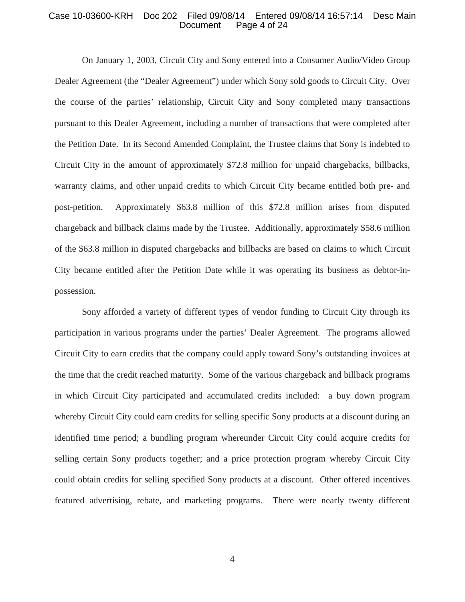#### Case 10-03600-KRH Doc 202 Filed 09/08/14 Entered 09/08/14 16:57:14 Desc Main Page 4 of 24

On January 1, 2003, Circuit City and Sony entered into a Consumer Audio/Video Group Dealer Agreement (the "Dealer Agreement") under which Sony sold goods to Circuit City. Over the course of the parties' relationship, Circuit City and Sony completed many transactions pursuant to this Dealer Agreement, including a number of transactions that were completed after the Petition Date. In its Second Amended Complaint, the Trustee claims that Sony is indebted to Circuit City in the amount of approximately \$72.8 million for unpaid chargebacks, billbacks, warranty claims, and other unpaid credits to which Circuit City became entitled both pre- and post-petition. Approximately \$63.8 million of this \$72.8 million arises from disputed chargeback and billback claims made by the Trustee. Additionally, approximately \$58.6 million of the \$63.8 million in disputed chargebacks and billbacks are based on claims to which Circuit City became entitled after the Petition Date while it was operating its business as debtor-inpossession.

 Sony afforded a variety of different types of vendor funding to Circuit City through its participation in various programs under the parties' Dealer Agreement. The programs allowed Circuit City to earn credits that the company could apply toward Sony's outstanding invoices at the time that the credit reached maturity. Some of the various chargeback and billback programs in which Circuit City participated and accumulated credits included: a buy down program whereby Circuit City could earn credits for selling specific Sony products at a discount during an identified time period; a bundling program whereunder Circuit City could acquire credits for selling certain Sony products together; and a price protection program whereby Circuit City could obtain credits for selling specified Sony products at a discount. Other offered incentives featured advertising, rebate, and marketing programs. There were nearly twenty different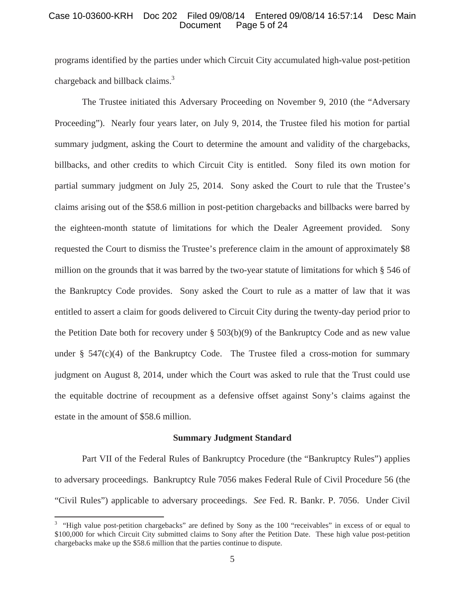### Case 10-03600-KRH Doc 202 Filed 09/08/14 Entered 09/08/14 16:57:14 Desc Main Page 5 of 24

programs identified by the parties under which Circuit City accumulated high-value post-petition chargeback and billback claims.<sup>3</sup>

 The Trustee initiated this Adversary Proceeding on November 9, 2010 (the "Adversary Proceeding"). Nearly four years later, on July 9, 2014, the Trustee filed his motion for partial summary judgment, asking the Court to determine the amount and validity of the chargebacks, billbacks, and other credits to which Circuit City is entitled. Sony filed its own motion for partial summary judgment on July 25, 2014. Sony asked the Court to rule that the Trustee's claims arising out of the \$58.6 million in post-petition chargebacks and billbacks were barred by the eighteen-month statute of limitations for which the Dealer Agreement provided. Sony requested the Court to dismiss the Trustee's preference claim in the amount of approximately \$8 million on the grounds that it was barred by the two-year statute of limitations for which § 546 of the Bankruptcy Code provides. Sony asked the Court to rule as a matter of law that it was entitled to assert a claim for goods delivered to Circuit City during the twenty-day period prior to the Petition Date both for recovery under  $\S$  503(b)(9) of the Bankruptcy Code and as new value under  $\S$  547(c)(4) of the Bankruptcy Code. The Trustee filed a cross-motion for summary judgment on August 8, 2014, under which the Court was asked to rule that the Trust could use the equitable doctrine of recoupment as a defensive offset against Sony's claims against the estate in the amount of \$58.6 million.

#### **Summary Judgment Standard**

 Part VII of the Federal Rules of Bankruptcy Procedure (the "Bankruptcy Rules") applies to adversary proceedings. Bankruptcy Rule 7056 makes Federal Rule of Civil Procedure 56 (the "Civil Rules") applicable to adversary proceedings. *See* Fed. R. Bankr. P. 7056. Under Civil

<sup>&</sup>lt;sup>3</sup> "High value post-petition chargebacks" are defined by Sony as the 100 "receivables" in excess of or equal to \$100,000 for which Circuit City submitted claims to Sony after the Petition Date. These high value post-petition chargebacks make up the \$58.6 million that the parties continue to dispute.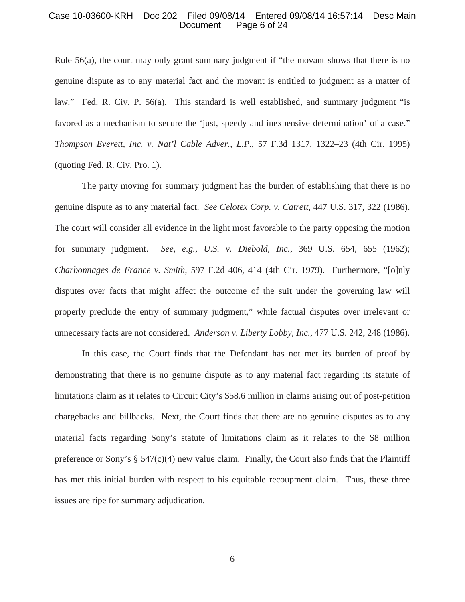#### Case 10-03600-KRH Doc 202 Filed 09/08/14 Entered 09/08/14 16:57:14 Desc Main Page 6 of 24

Rule 56(a), the court may only grant summary judgment if "the movant shows that there is no genuine dispute as to any material fact and the movant is entitled to judgment as a matter of law." Fed. R. Civ. P. 56(a). This standard is well established, and summary judgment "is favored as a mechanism to secure the 'just, speedy and inexpensive determination' of a case." *Thompson Everett, Inc. v. Nat'l Cable Adver., L.P.*, 57 F.3d 1317, 1322–23 (4th Cir. 1995) (quoting Fed. R. Civ. Pro. 1).

 The party moving for summary judgment has the burden of establishing that there is no genuine dispute as to any material fact. *See Celotex Corp. v. Catrett*, 447 U.S. 317, 322 (1986). The court will consider all evidence in the light most favorable to the party opposing the motion for summary judgment. *See, e.g., U.S. v. Diebold, Inc.*, 369 U.S. 654, 655 (1962); *Charbonnages de France v. Smith*, 597 F.2d 406, 414 (4th Cir. 1979). Furthermore, "[o]nly disputes over facts that might affect the outcome of the suit under the governing law will properly preclude the entry of summary judgment," while factual disputes over irrelevant or unnecessary facts are not considered. *Anderson v. Liberty Lobby, Inc.*, 477 U.S. 242, 248 (1986).

 In this case, the Court finds that the Defendant has not met its burden of proof by demonstrating that there is no genuine dispute as to any material fact regarding its statute of limitations claim as it relates to Circuit City's \$58.6 million in claims arising out of post-petition chargebacks and billbacks. Next, the Court finds that there are no genuine disputes as to any material facts regarding Sony's statute of limitations claim as it relates to the \$8 million preference or Sony's  $\S$  547(c)(4) new value claim. Finally, the Court also finds that the Plaintiff has met this initial burden with respect to his equitable recoupment claim. Thus, these three issues are ripe for summary adjudication.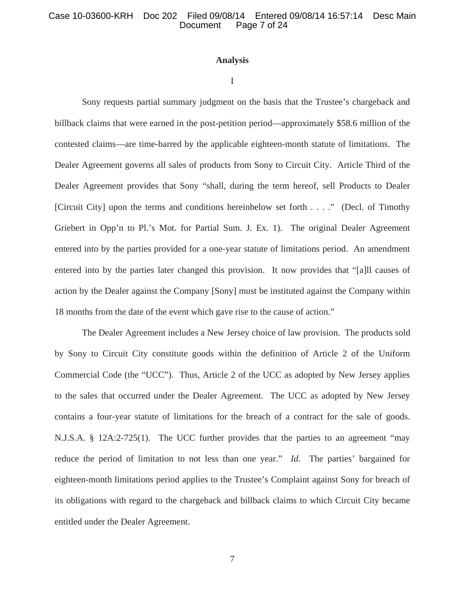### **Analysis**

#### I

 Sony requests partial summary judgment on the basis that the Trustee's chargeback and billback claims that were earned in the post-petition period—approximately \$58.6 million of the contested claims—are time-barred by the applicable eighteen-month statute of limitations. The Dealer Agreement governs all sales of products from Sony to Circuit City. Article Third of the Dealer Agreement provides that Sony "shall, during the term hereof, sell Products to Dealer [Circuit City] upon the terms and conditions hereinbelow set forth . . . ." (Decl. of Timothy Griebert in Opp'n to Pl.'s Mot. for Partial Sum. J. Ex. 1). The original Dealer Agreement entered into by the parties provided for a one-year statute of limitations period. An amendment entered into by the parties later changed this provision. It now provides that "[a]ll causes of action by the Dealer against the Company [Sony] must be instituted against the Company within 18 months from the date of the event which gave rise to the cause of action."

 The Dealer Agreement includes a New Jersey choice of law provision. The products sold by Sony to Circuit City constitute goods within the definition of Article 2 of the Uniform Commercial Code (the "UCC"). Thus, Article 2 of the UCC as adopted by New Jersey applies to the sales that occurred under the Dealer Agreement. The UCC as adopted by New Jersey contains a four-year statute of limitations for the breach of a contract for the sale of goods. N.J.S.A. § 12A:2-725(1). The UCC further provides that the parties to an agreement "may reduce the period of limitation to not less than one year." *Id.* The parties' bargained for eighteen-month limitations period applies to the Trustee's Complaint against Sony for breach of its obligations with regard to the chargeback and billback claims to which Circuit City became entitled under the Dealer Agreement.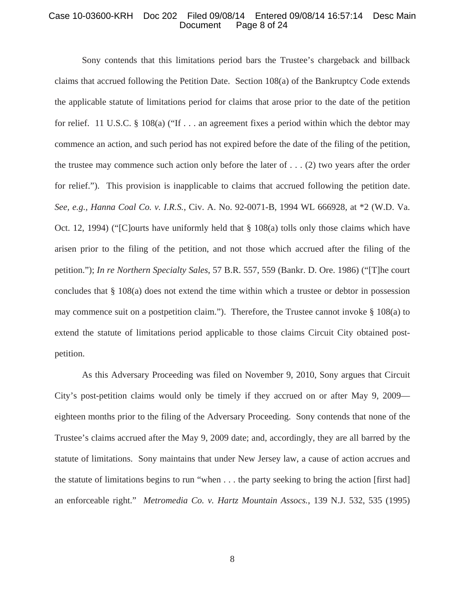#### Case 10-03600-KRH Doc 202 Filed 09/08/14 Entered 09/08/14 16:57:14 Desc Main Page 8 of 24

 Sony contends that this limitations period bars the Trustee's chargeback and billback claims that accrued following the Petition Date. Section 108(a) of the Bankruptcy Code extends the applicable statute of limitations period for claims that arose prior to the date of the petition for relief. 11 U.S.C. § 108(a) ("If . . . an agreement fixes a period within which the debtor may commence an action, and such period has not expired before the date of the filing of the petition, the trustee may commence such action only before the later of  $\dots$  (2) two years after the order for relief."). This provision is inapplicable to claims that accrued following the petition date. *See, e.g., Hanna Coal Co. v. I.R.S.*, Civ. A. No. 92-0071-B, 1994 WL 666928, at \*2 (W.D. Va. Oct. 12, 1994) ("[C]ourts have uniformly held that § 108(a) tolls only those claims which have arisen prior to the filing of the petition, and not those which accrued after the filing of the petition."); *In re Northern Specialty Sales*, 57 B.R. 557, 559 (Bankr. D. Ore. 1986) ("[T]he court concludes that § 108(a) does not extend the time within which a trustee or debtor in possession may commence suit on a postpetition claim."). Therefore, the Trustee cannot invoke § 108(a) to extend the statute of limitations period applicable to those claims Circuit City obtained postpetition.

 As this Adversary Proceeding was filed on November 9, 2010, Sony argues that Circuit City's post-petition claims would only be timely if they accrued on or after May 9, 2009 eighteen months prior to the filing of the Adversary Proceeding. Sony contends that none of the Trustee's claims accrued after the May 9, 2009 date; and, accordingly, they are all barred by the statute of limitations. Sony maintains that under New Jersey law, a cause of action accrues and the statute of limitations begins to run "when . . . the party seeking to bring the action [first had] an enforceable right." *Metromedia Co. v. Hartz Mountain Assocs.*, 139 N.J. 532, 535 (1995)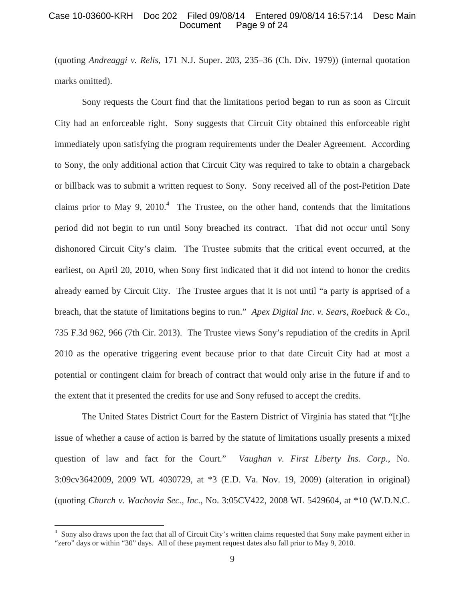### Case 10-03600-KRH Doc 202 Filed 09/08/14 Entered 09/08/14 16:57:14 Desc Main Page 9 of 24

(quoting *Andreaggi v. Relis*, 171 N.J. Super. 203, 235–36 (Ch. Div. 1979)) (internal quotation marks omitted).

 Sony requests the Court find that the limitations period began to run as soon as Circuit City had an enforceable right. Sony suggests that Circuit City obtained this enforceable right immediately upon satisfying the program requirements under the Dealer Agreement. According to Sony, the only additional action that Circuit City was required to take to obtain a chargeback or billback was to submit a written request to Sony. Sony received all of the post-Petition Date claims prior to May 9, 2010.<sup>4</sup> The Trustee, on the other hand, contends that the limitations period did not begin to run until Sony breached its contract. That did not occur until Sony dishonored Circuit City's claim. The Trustee submits that the critical event occurred, at the earliest, on April 20, 2010, when Sony first indicated that it did not intend to honor the credits already earned by Circuit City. The Trustee argues that it is not until "a party is apprised of a breach, that the statute of limitations begins to run." *Apex Digital Inc. v. Sears, Roebuck & Co.*, 735 F.3d 962, 966 (7th Cir. 2013). The Trustee views Sony's repudiation of the credits in April 2010 as the operative triggering event because prior to that date Circuit City had at most a potential or contingent claim for breach of contract that would only arise in the future if and to the extent that it presented the credits for use and Sony refused to accept the credits.

 The United States District Court for the Eastern District of Virginia has stated that "[t]he issue of whether a cause of action is barred by the statute of limitations usually presents a mixed question of law and fact for the Court." *Vaughan v. First Liberty Ins. Corp.*, No. 3:09cv3642009, 2009 WL 4030729, at \*3 (E.D. Va. Nov. 19, 2009) (alteration in original) (quoting *Church v. Wachovia Sec., Inc.*, No. 3:05CV422, 2008 WL 5429604, at \*10 (W.D.N.C.

<sup>&</sup>lt;sup>4</sup> Sony also draws upon the fact that all of Circuit City's written claims requested that Sony make payment either in "zero" days or within "30" days. All of these payment request dates also fall prior to May 9, 2010.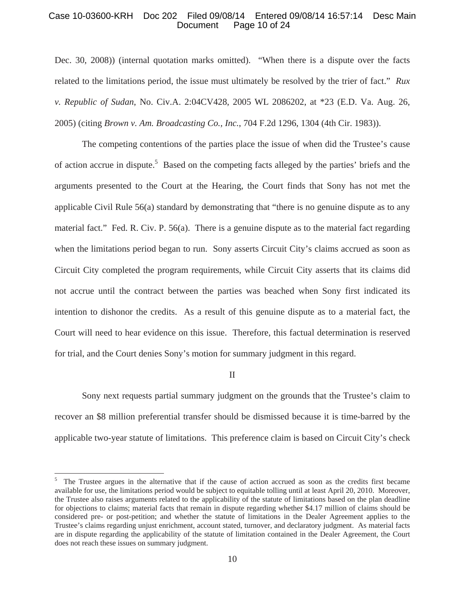### Case 10-03600-KRH Doc 202 Filed 09/08/14 Entered 09/08/14 16:57:14 Desc Main Page 10 of 24

Dec. 30, 2008)) (internal quotation marks omitted). "When there is a dispute over the facts related to the limitations period, the issue must ultimately be resolved by the trier of fact." *Rux v. Republic of Sudan*, No. Civ.A. 2:04CV428, 2005 WL 2086202, at \*23 (E.D. Va. Aug. 26, 2005) (citing *Brown v. Am. Broadcasting Co., Inc.*, 704 F.2d 1296, 1304 (4th Cir. 1983)).

 The competing contentions of the parties place the issue of when did the Trustee's cause of action accrue in dispute.<sup>5</sup> Based on the competing facts alleged by the parties' briefs and the arguments presented to the Court at the Hearing, the Court finds that Sony has not met the applicable Civil Rule 56(a) standard by demonstrating that "there is no genuine dispute as to any material fact." Fed. R. Civ. P. 56(a). There is a genuine dispute as to the material fact regarding when the limitations period began to run. Sony asserts Circuit City's claims accrued as soon as Circuit City completed the program requirements, while Circuit City asserts that its claims did not accrue until the contract between the parties was beached when Sony first indicated its intention to dishonor the credits. As a result of this genuine dispute as to a material fact, the Court will need to hear evidence on this issue. Therefore, this factual determination is reserved for trial, and the Court denies Sony's motion for summary judgment in this regard.

II

 Sony next requests partial summary judgment on the grounds that the Trustee's claim to recover an \$8 million preferential transfer should be dismissed because it is time-barred by the applicable two-year statute of limitations. This preference claim is based on Circuit City's check

<sup>5</sup> The Trustee argues in the alternative that if the cause of action accrued as soon as the credits first became available for use, the limitations period would be subject to equitable tolling until at least April 20, 2010. Moreover, the Trustee also raises arguments related to the applicability of the statute of limitations based on the plan deadline for objections to claims; material facts that remain in dispute regarding whether \$4.17 million of claims should be considered pre- or post-petition; and whether the statute of limitations in the Dealer Agreement applies to the Trustee's claims regarding unjust enrichment, account stated, turnover, and declaratory judgment. As material facts are in dispute regarding the applicability of the statute of limitation contained in the Dealer Agreement, the Court does not reach these issues on summary judgment.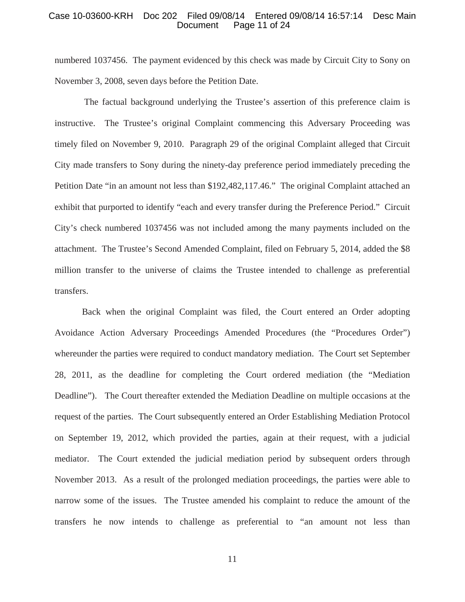#### Case 10-03600-KRH Doc 202 Filed 09/08/14 Entered 09/08/14 16:57:14 Desc Main Page 11 of 24

numbered 1037456. The payment evidenced by this check was made by Circuit City to Sony on November 3, 2008, seven days before the Petition Date.

 The factual background underlying the Trustee's assertion of this preference claim is instructive. The Trustee's original Complaint commencing this Adversary Proceeding was timely filed on November 9, 2010. Paragraph 29 of the original Complaint alleged that Circuit City made transfers to Sony during the ninety-day preference period immediately preceding the Petition Date "in an amount not less than \$192,482,117.46." The original Complaint attached an exhibit that purported to identify "each and every transfer during the Preference Period." Circuit City's check numbered 1037456 was not included among the many payments included on the attachment. The Trustee's Second Amended Complaint, filed on February 5, 2014, added the \$8 million transfer to the universe of claims the Trustee intended to challenge as preferential transfers.

Back when the original Complaint was filed, the Court entered an Order adopting Avoidance Action Adversary Proceedings Amended Procedures (the "Procedures Order") whereunder the parties were required to conduct mandatory mediation. The Court set September 28, 2011, as the deadline for completing the Court ordered mediation (the "Mediation Deadline"). The Court thereafter extended the Mediation Deadline on multiple occasions at the request of the parties. The Court subsequently entered an Order Establishing Mediation Protocol on September 19, 2012, which provided the parties, again at their request, with a judicial mediator. The Court extended the judicial mediation period by subsequent orders through November 2013. As a result of the prolonged mediation proceedings, the parties were able to narrow some of the issues. The Trustee amended his complaint to reduce the amount of the transfers he now intends to challenge as preferential to "an amount not less than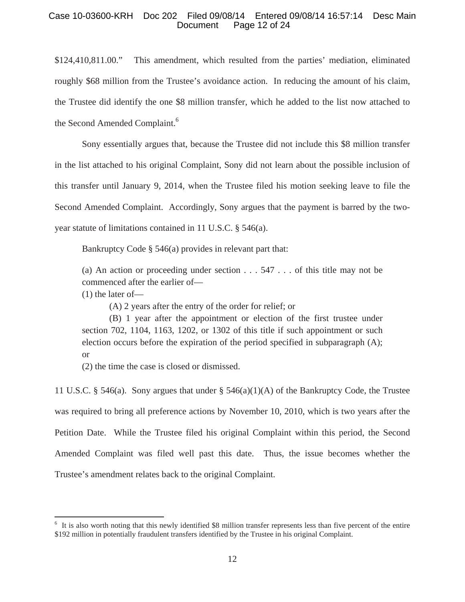# Case 10-03600-KRH Doc 202 Filed 09/08/14 Entered 09/08/14 16:57:14 Desc Main Page 12 of 24

\$124,410,811.00." This amendment, which resulted from the parties' mediation, eliminated roughly \$68 million from the Trustee's avoidance action. In reducing the amount of his claim, the Trustee did identify the one \$8 million transfer, which he added to the list now attached to the Second Amended Complaint.<sup>6</sup>

 Sony essentially argues that, because the Trustee did not include this \$8 million transfer in the list attached to his original Complaint, Sony did not learn about the possible inclusion of this transfer until January 9, 2014, when the Trustee filed his motion seeking leave to file the Second Amended Complaint. Accordingly, Sony argues that the payment is barred by the twoyear statute of limitations contained in 11 U.S.C. § 546(a).

Bankruptcy Code § 546(a) provides in relevant part that:

(a) An action or proceeding under section  $\ldots$  547  $\ldots$  of this title may not be commenced after the earlier of—

(1) the later of—

(A) 2 years after the entry of the order for relief; or

 (B) 1 year after the appointment or election of the first trustee under section 702, 1104, 1163, 1202, or 1302 of this title if such appointment or such election occurs before the expiration of the period specified in subparagraph (A); or

(2) the time the case is closed or dismissed.

11 U.S.C. § 546(a). Sony argues that under § 546(a)(1)(A) of the Bankruptcy Code, the Trustee was required to bring all preference actions by November 10, 2010, which is two years after the Petition Date. While the Trustee filed his original Complaint within this period, the Second Amended Complaint was filed well past this date. Thus, the issue becomes whether the Trustee's amendment relates back to the original Complaint.

<sup>&</sup>lt;sup>6</sup> It is also worth noting that this newly identified \$8 million transfer represents less than five percent of the entire \$192 million in potentially fraudulent transfers identified by the Trustee in his original Complaint.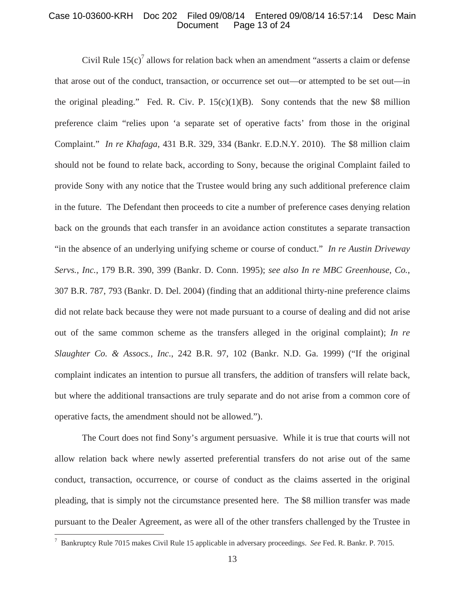### Case 10-03600-KRH Doc 202 Filed 09/08/14 Entered 09/08/14 16:57:14 Desc Main Page 13 of 24

Civil Rule  $15(c)^7$  allows for relation back when an amendment "asserts a claim or defense that arose out of the conduct, transaction, or occurrence set out—or attempted to be set out—in the original pleading." Fed. R. Civ. P.  $15(c)(1)(B)$ . Sony contends that the new \$8 million preference claim "relies upon 'a separate set of operative facts' from those in the original Complaint." *In re Khafaga*, 431 B.R. 329, 334 (Bankr. E.D.N.Y. 2010). The \$8 million claim should not be found to relate back, according to Sony, because the original Complaint failed to provide Sony with any notice that the Trustee would bring any such additional preference claim in the future. The Defendant then proceeds to cite a number of preference cases denying relation back on the grounds that each transfer in an avoidance action constitutes a separate transaction "in the absence of an underlying unifying scheme or course of conduct." *In re Austin Driveway Servs., Inc.*, 179 B.R. 390, 399 (Bankr. D. Conn. 1995); *see also In re MBC Greenhouse, Co.*, 307 B.R. 787, 793 (Bankr. D. Del. 2004) (finding that an additional thirty-nine preference claims did not relate back because they were not made pursuant to a course of dealing and did not arise out of the same common scheme as the transfers alleged in the original complaint); *In re Slaughter Co. & Assocs., Inc.*, 242 B.R. 97, 102 (Bankr. N.D. Ga. 1999) ("If the original complaint indicates an intention to pursue all transfers, the addition of transfers will relate back, but where the additional transactions are truly separate and do not arise from a common core of operative facts, the amendment should not be allowed.").

 The Court does not find Sony's argument persuasive. While it is true that courts will not allow relation back where newly asserted preferential transfers do not arise out of the same conduct, transaction, occurrence, or course of conduct as the claims asserted in the original pleading, that is simply not the circumstance presented here. The \$8 million transfer was made pursuant to the Dealer Agreement, as were all of the other transfers challenged by the Trustee in

<sup>7</sup> Bankruptcy Rule 7015 makes Civil Rule 15 applicable in adversary proceedings. *See* Fed. R. Bankr. P. 7015.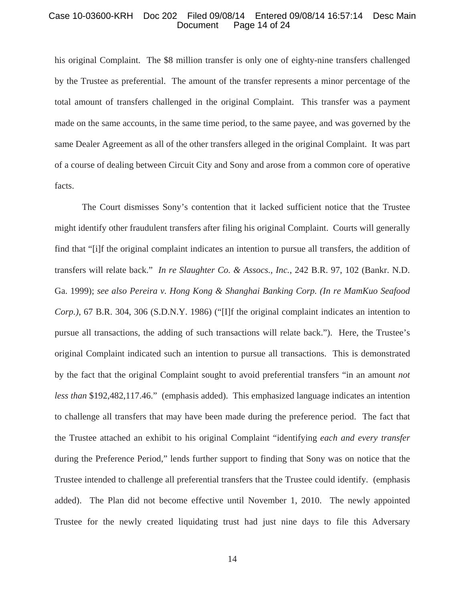#### Case 10-03600-KRH Doc 202 Filed 09/08/14 Entered 09/08/14 16:57:14 Desc Main Page 14 of 24

his original Complaint. The \$8 million transfer is only one of eighty-nine transfers challenged by the Trustee as preferential. The amount of the transfer represents a minor percentage of the total amount of transfers challenged in the original Complaint. This transfer was a payment made on the same accounts, in the same time period, to the same payee, and was governed by the same Dealer Agreement as all of the other transfers alleged in the original Complaint. It was part of a course of dealing between Circuit City and Sony and arose from a common core of operative facts.

 The Court dismisses Sony's contention that it lacked sufficient notice that the Trustee might identify other fraudulent transfers after filing his original Complaint. Courts will generally find that "[i]f the original complaint indicates an intention to pursue all transfers, the addition of transfers will relate back." *In re Slaughter Co. & Assocs., Inc.*, 242 B.R. 97, 102 (Bankr. N.D. Ga. 1999); *see also Pereira v. Hong Kong & Shanghai Banking Corp. (In re MamKuo Seafood Corp.)*, 67 B.R. 304, 306 (S.D.N.Y. 1986) ("[I]f the original complaint indicates an intention to pursue all transactions, the adding of such transactions will relate back."). Here, the Trustee's original Complaint indicated such an intention to pursue all transactions. This is demonstrated by the fact that the original Complaint sought to avoid preferential transfers "in an amount *not less than* \$192,482,117.46." (emphasis added). This emphasized language indicates an intention to challenge all transfers that may have been made during the preference period. The fact that the Trustee attached an exhibit to his original Complaint "identifying *each and every transfer* during the Preference Period," lends further support to finding that Sony was on notice that the Trustee intended to challenge all preferential transfers that the Trustee could identify. (emphasis added). The Plan did not become effective until November 1, 2010. The newly appointed Trustee for the newly created liquidating trust had just nine days to file this Adversary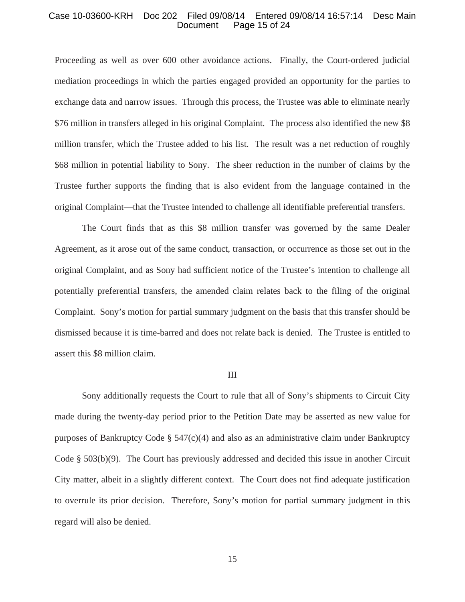#### Case 10-03600-KRH Doc 202 Filed 09/08/14 Entered 09/08/14 16:57:14 Desc Main Page 15 of 24

Proceeding as well as over 600 other avoidance actions. Finally, the Court-ordered judicial mediation proceedings in which the parties engaged provided an opportunity for the parties to exchange data and narrow issues. Through this process, the Trustee was able to eliminate nearly \$76 million in transfers alleged in his original Complaint. The process also identified the new \$8 million transfer, which the Trustee added to his list. The result was a net reduction of roughly \$68 million in potential liability to Sony. The sheer reduction in the number of claims by the Trustee further supports the finding that is also evident from the language contained in the original Complaint—that the Trustee intended to challenge all identifiable preferential transfers.

 The Court finds that as this \$8 million transfer was governed by the same Dealer Agreement, as it arose out of the same conduct, transaction, or occurrence as those set out in the original Complaint, and as Sony had sufficient notice of the Trustee's intention to challenge all potentially preferential transfers, the amended claim relates back to the filing of the original Complaint. Sony's motion for partial summary judgment on the basis that this transfer should be dismissed because it is time-barred and does not relate back is denied. The Trustee is entitled to assert this \$8 million claim.

#### III

 Sony additionally requests the Court to rule that all of Sony's shipments to Circuit City made during the twenty-day period prior to the Petition Date may be asserted as new value for purposes of Bankruptcy Code  $\S$  547(c)(4) and also as an administrative claim under Bankruptcy Code § 503(b)(9). The Court has previously addressed and decided this issue in another Circuit City matter, albeit in a slightly different context. The Court does not find adequate justification to overrule its prior decision. Therefore, Sony's motion for partial summary judgment in this regard will also be denied.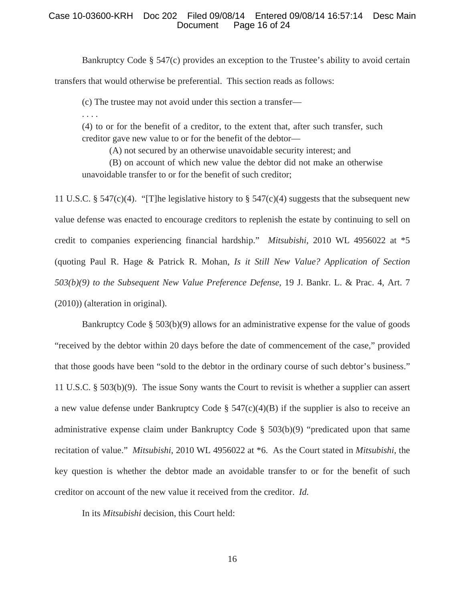# Case 10-03600-KRH Doc 202 Filed 09/08/14 Entered 09/08/14 16:57:14 Desc Main Page 16 of 24

Bankruptcy Code § 547(c) provides an exception to the Trustee's ability to avoid certain

transfers that would otherwise be preferential. This section reads as follows:

(c) The trustee may not avoid under this section a transfer—

. . . .

(4) to or for the benefit of a creditor, to the extent that, after such transfer, such creditor gave new value to or for the benefit of the debtor—

(A) not secured by an otherwise unavoidable security interest; and

 (B) on account of which new value the debtor did not make an otherwise unavoidable transfer to or for the benefit of such creditor;

11 U.S.C. § 547(c)(4). "[T]he legislative history to § 547(c)(4) suggests that the subsequent new value defense was enacted to encourage creditors to replenish the estate by continuing to sell on credit to companies experiencing financial hardship." *Mitsubishi*, 2010 WL 4956022 at \*5 (quoting Paul R. Hage & Patrick R. Mohan, *Is it Still New Value? Application of Section 503(b)(9) to the Subsequent New Value Preference Defense*, 19 J. Bankr. L. & Prac. 4, Art. 7 (2010)) (alteration in original).

 Bankruptcy Code § 503(b)(9) allows for an administrative expense for the value of goods "received by the debtor within 20 days before the date of commencement of the case," provided that those goods have been "sold to the debtor in the ordinary course of such debtor's business." 11 U.S.C. § 503(b)(9). The issue Sony wants the Court to revisit is whether a supplier can assert a new value defense under Bankruptcy Code § 547(c)(4)(B) if the supplier is also to receive an administrative expense claim under Bankruptcy Code § 503(b)(9) "predicated upon that same recitation of value." *Mitsubishi*, 2010 WL 4956022 at \*6. As the Court stated in *Mitsubishi*, the key question is whether the debtor made an avoidable transfer to or for the benefit of such creditor on account of the new value it received from the creditor. *Id.*

In its *Mitsubishi* decision, this Court held: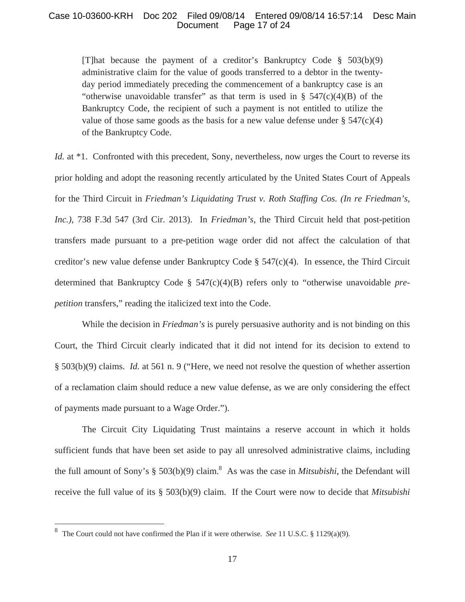# Case 10-03600-KRH Doc 202 Filed 09/08/14 Entered 09/08/14 16:57:14 Desc Main Page 17 of 24

[T]hat because the payment of a creditor's Bankruptcy Code § 503(b)(9) administrative claim for the value of goods transferred to a debtor in the twentyday period immediately preceding the commencement of a bankruptcy case is an "otherwise unavoidable transfer" as that term is used in  $\S$  547(c)(4)(B) of the Bankruptcy Code, the recipient of such a payment is not entitled to utilize the value of those same goods as the basis for a new value defense under  $\S$  547(c)(4) of the Bankruptcy Code.

*Id.* at \*1. Confronted with this precedent, Sony, nevertheless, now urges the Court to reverse its prior holding and adopt the reasoning recently articulated by the United States Court of Appeals for the Third Circuit in *Friedman's Liquidating Trust v. Roth Staffing Cos. (In re Friedman's, Inc.)*, 738 F.3d 547 (3rd Cir. 2013). In *Friedman's*, the Third Circuit held that post-petition transfers made pursuant to a pre-petition wage order did not affect the calculation of that creditor's new value defense under Bankruptcy Code  $\S$  547(c)(4). In essence, the Third Circuit determined that Bankruptcy Code § 547(c)(4)(B) refers only to "otherwise unavoidable *prepetition* transfers," reading the italicized text into the Code.

 While the decision in *Friedman's* is purely persuasive authority and is not binding on this Court, the Third Circuit clearly indicated that it did not intend for its decision to extend to § 503(b)(9) claims. *Id.* at 561 n. 9 ("Here, we need not resolve the question of whether assertion of a reclamation claim should reduce a new value defense, as we are only considering the effect of payments made pursuant to a Wage Order.").

 The Circuit City Liquidating Trust maintains a reserve account in which it holds sufficient funds that have been set aside to pay all unresolved administrative claims, including the full amount of Sony's  $\S 503(b)(9)$  claim.<sup>8</sup> As was the case in *Mitsubishi*, the Defendant will receive the full value of its § 503(b)(9) claim. If the Court were now to decide that *Mitsubishi*

<sup>8</sup> The Court could not have confirmed the Plan if it were otherwise. *See* 11 U.S.C. § 1129(a)(9).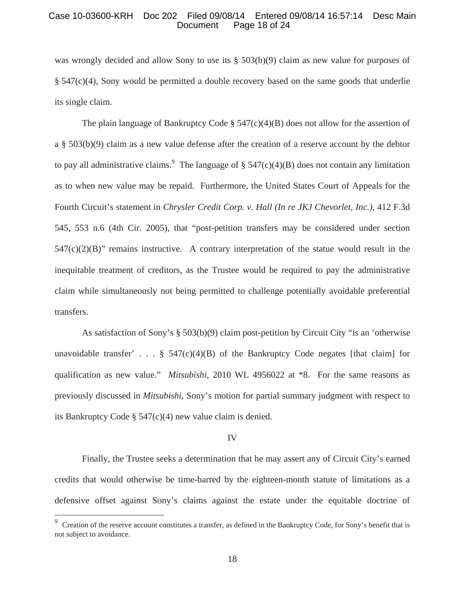#### Case 10-03600-KRH Doc 202 Filed 09/08/14 Entered 09/08/14 16:57:14 Desc Main Page 18 of 24

was wrongly decided and allow Sony to use its § 503(b)(9) claim as new value for purposes of § 547(c)(4), Sony would be permitted a double recovery based on the same goods that underlie its single claim.

The plain language of Bankruptcy Code  $\S$  547(c)(4)(B) does not allow for the assertion of a § 503(b)(9) claim as a new value defense after the creation of a reserve account by the debtor to pay all administrative claims.<sup>9</sup> The language of  $\S 547(c)(4)(B)$  does not contain any limitation as to when new value may be repaid. Furthermore, the United States Court of Appeals for the Fourth Circuit's statement in *Chrysler Credit Corp. v. Hall (In re JKJ Chevorlet, Inc.)*, 412 F.3d 545, 553 n.6 (4th Cir. 2005), that "post-petition transfers may be considered under section  $547(c)(2)(B)$ " remains instructive. A contrary interpretation of the statue would result in the inequitable treatment of creditors, as the Trustee would be required to pay the administrative claim while simultaneously not being permitted to challenge potentially avoidable preferential transfers.

 As satisfaction of Sony's § 503(b)(9) claim post-petition by Circuit City "is an 'otherwise unavoidable transfer' . . .  $\S$  547(c)(4)(B) of the Bankruptcy Code negates [that claim] for qualification as new value." *Mitsubishi*, 2010 WL 4956022 at \*8. For the same reasons as previously discussed in *Mitsubishi*, Sony's motion for partial summary judgment with respect to its Bankruptcy Code § 547(c)(4) new value claim is denied.

#### IV

 Finally, the Trustee seeks a determination that he may assert any of Circuit City's earned credits that would otherwise be time-barred by the eighteen-month statute of limitations as a defensive offset against Sony's claims against the estate under the equitable doctrine of

<sup>9</sup> Creation of the reserve account constitutes a transfer, as defined in the Bankruptcy Code, for Sony's benefit that is not subject to avoidance.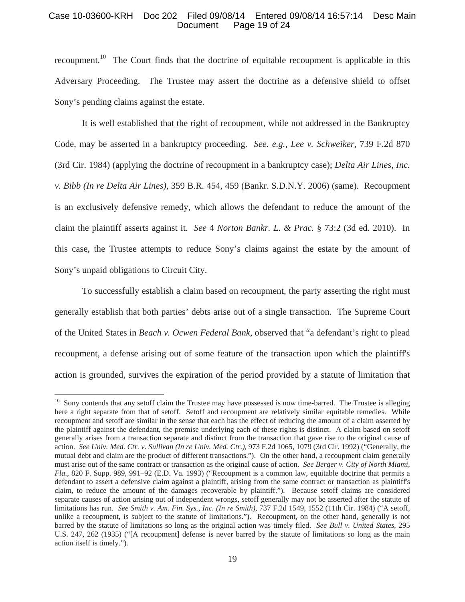## Case 10-03600-KRH Doc 202 Filed 09/08/14 Entered 09/08/14 16:57:14 Desc Main Page 19 of 24

recoupment.<sup>10</sup> The Court finds that the doctrine of equitable recoupment is applicable in this Adversary Proceeding. The Trustee may assert the doctrine as a defensive shield to offset Sony's pending claims against the estate.

 It is well established that the right of recoupment, while not addressed in the Bankruptcy Code, may be asserted in a bankruptcy proceeding. *See. e.g., Lee v. Schweiker*, 739 F.2d 870 (3rd Cir. 1984) (applying the doctrine of recoupment in a bankruptcy case); *Delta Air Lines, Inc. v. Bibb (In re Delta Air Lines)*, 359 B.R. 454, 459 (Bankr. S.D.N.Y. 2006) (same). Recoupment is an exclusively defensive remedy, which allows the defendant to reduce the amount of the claim the plaintiff asserts against it. *See* 4 *Norton Bankr. L. & Prac.* § 73:2 (3d ed. 2010). In this case, the Trustee attempts to reduce Sony's claims against the estate by the amount of Sony's unpaid obligations to Circuit City.

 To successfully establish a claim based on recoupment, the party asserting the right must generally establish that both parties' debts arise out of a single transaction. The Supreme Court of the United States in *Beach v. Ocwen Federal Bank*, observed that "a defendant's right to plead recoupment, a defense arising out of some feature of the transaction upon which the plaintiff's action is grounded, survives the expiration of the period provided by a statute of limitation that

 $10$  Sony contends that any setoff claim the Trustee may have possessed is now time-barred. The Trustee is alleging here a right separate from that of setoff. Setoff and recoupment are relatively similar equitable remedies. While recoupment and setoff are similar in the sense that each has the effect of reducing the amount of a claim asserted by the plaintiff against the defendant, the premise underlying each of these rights is distinct. A claim based on setoff generally arises from a transaction separate and distinct from the transaction that gave rise to the original cause of action. *See Univ. Med. Ctr. v. Sullivan (In re Univ. Med. Ctr.)*, 973 F.2d 1065, 1079 (3rd Cir. 1992) ("Generally, the mutual debt and claim are the product of different transactions."). On the other hand, a recoupment claim generally must arise out of the same contract or transaction as the original cause of action. *See Berger v. City of North Miami, Fla.*, 820 F. Supp. 989, 991–92 (E.D. Va. 1993) ("Recoupment is a common law, equitable doctrine that permits a defendant to assert a defensive claim against a plaintiff, arising from the same contract or transaction as plaintiff's claim, to reduce the amount of the damages recoverable by plaintiff."). Because setoff claims are considered separate causes of action arising out of independent wrongs, setoff generally may not be asserted after the statute of limitations has run. *See Smith v. Am. Fin. Sys., Inc. (In re Smith)*, 737 F.2d 1549, 1552 (11th Cir. 1984) ("A setoff, unlike a recoupment, is subject to the statute of limitations."). Recoupment, on the other hand, generally is not barred by the statute of limitations so long as the original action was timely filed. *See Bull v. United States*, 295 U.S. 247, 262 (1935) ("[A recoupment] defense is never barred by the statute of limitations so long as the main action itself is timely.").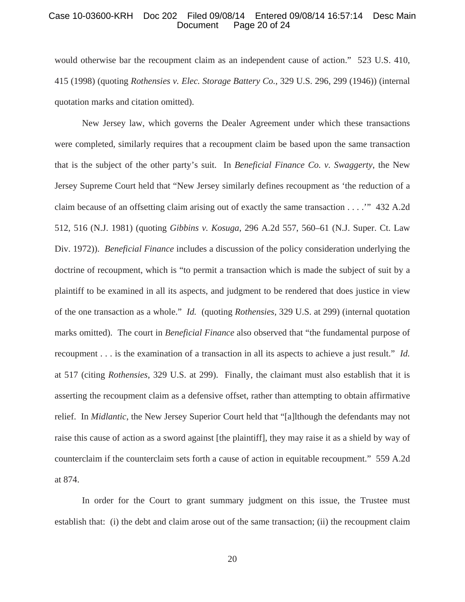#### Case 10-03600-KRH Doc 202 Filed 09/08/14 Entered 09/08/14 16:57:14 Desc Main Page 20 of 24

would otherwise bar the recoupment claim as an independent cause of action." 523 U.S. 410, 415 (1998) (quoting *Rothensies v. Elec. Storage Battery Co.*, 329 U.S. 296, 299 (1946)) (internal quotation marks and citation omitted).

 New Jersey law, which governs the Dealer Agreement under which these transactions were completed, similarly requires that a recoupment claim be based upon the same transaction that is the subject of the other party's suit. In *Beneficial Finance Co. v. Swaggerty*, the New Jersey Supreme Court held that "New Jersey similarly defines recoupment as 'the reduction of a claim because of an offsetting claim arising out of exactly the same transaction . . . .'" 432 A.2d 512, 516 (N.J. 1981) (quoting *Gibbins v. Kosuga*, 296 A.2d 557, 560–61 (N.J. Super. Ct. Law Div. 1972)). *Beneficial Finance* includes a discussion of the policy consideration underlying the doctrine of recoupment, which is "to permit a transaction which is made the subject of suit by a plaintiff to be examined in all its aspects, and judgment to be rendered that does justice in view of the one transaction as a whole." *Id.* (quoting *Rothensies*, 329 U.S. at 299) (internal quotation marks omitted). The court in *Beneficial Finance* also observed that "the fundamental purpose of recoupment . . . is the examination of a transaction in all its aspects to achieve a just result." *Id.* at 517 (citing *Rothensies*, 329 U.S. at 299). Finally, the claimant must also establish that it is asserting the recoupment claim as a defensive offset, rather than attempting to obtain affirmative relief. In *Midlantic*, the New Jersey Superior Court held that "[a]lthough the defendants may not raise this cause of action as a sword against [the plaintiff], they may raise it as a shield by way of counterclaim if the counterclaim sets forth a cause of action in equitable recoupment." 559 A.2d at 874.

 In order for the Court to grant summary judgment on this issue, the Trustee must establish that: (i) the debt and claim arose out of the same transaction; (ii) the recoupment claim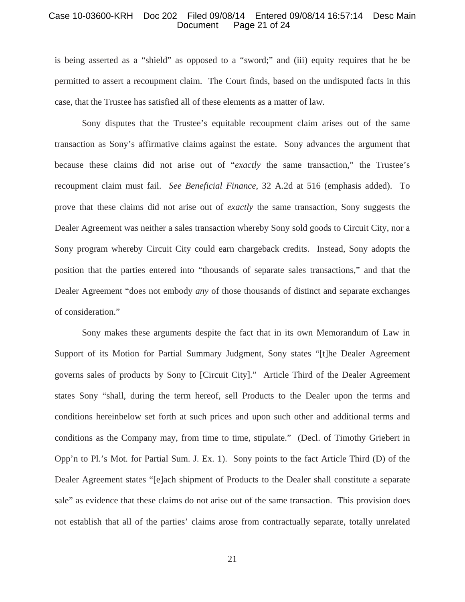#### Case 10-03600-KRH Doc 202 Filed 09/08/14 Entered 09/08/14 16:57:14 Desc Main Page 21 of 24

is being asserted as a "shield" as opposed to a "sword;" and (iii) equity requires that he be permitted to assert a recoupment claim. The Court finds, based on the undisputed facts in this case, that the Trustee has satisfied all of these elements as a matter of law.

 Sony disputes that the Trustee's equitable recoupment claim arises out of the same transaction as Sony's affirmative claims against the estate. Sony advances the argument that because these claims did not arise out of "*exactly* the same transaction," the Trustee's recoupment claim must fail. *See Beneficial Finance*, 32 A.2d at 516 (emphasis added). To prove that these claims did not arise out of *exactly* the same transaction, Sony suggests the Dealer Agreement was neither a sales transaction whereby Sony sold goods to Circuit City, nor a Sony program whereby Circuit City could earn chargeback credits. Instead, Sony adopts the position that the parties entered into "thousands of separate sales transactions," and that the Dealer Agreement "does not embody *any* of those thousands of distinct and separate exchanges of consideration."

 Sony makes these arguments despite the fact that in its own Memorandum of Law in Support of its Motion for Partial Summary Judgment, Sony states "[t]he Dealer Agreement governs sales of products by Sony to [Circuit City]." Article Third of the Dealer Agreement states Sony "shall, during the term hereof, sell Products to the Dealer upon the terms and conditions hereinbelow set forth at such prices and upon such other and additional terms and conditions as the Company may, from time to time, stipulate." (Decl. of Timothy Griebert in Opp'n to Pl.'s Mot. for Partial Sum. J. Ex. 1). Sony points to the fact Article Third (D) of the Dealer Agreement states "[e]ach shipment of Products to the Dealer shall constitute a separate sale" as evidence that these claims do not arise out of the same transaction. This provision does not establish that all of the parties' claims arose from contractually separate, totally unrelated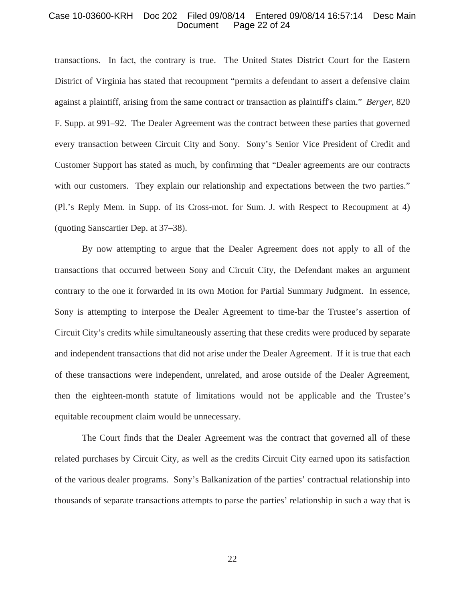#### Case 10-03600-KRH Doc 202 Filed 09/08/14 Entered 09/08/14 16:57:14 Desc Main Page 22 of 24

transactions. In fact, the contrary is true. The United States District Court for the Eastern District of Virginia has stated that recoupment "permits a defendant to assert a defensive claim against a plaintiff, arising from the same contract or transaction as plaintiff's claim." *Berger*, 820 F. Supp. at 991–92. The Dealer Agreement was the contract between these parties that governed every transaction between Circuit City and Sony. Sony's Senior Vice President of Credit and Customer Support has stated as much, by confirming that "Dealer agreements are our contracts with our customers. They explain our relationship and expectations between the two parties." (Pl.'s Reply Mem. in Supp. of its Cross-mot. for Sum. J. with Respect to Recoupment at 4) (quoting Sanscartier Dep. at 37–38).

 By now attempting to argue that the Dealer Agreement does not apply to all of the transactions that occurred between Sony and Circuit City, the Defendant makes an argument contrary to the one it forwarded in its own Motion for Partial Summary Judgment. In essence, Sony is attempting to interpose the Dealer Agreement to time-bar the Trustee's assertion of Circuit City's credits while simultaneously asserting that these credits were produced by separate and independent transactions that did not arise under the Dealer Agreement. If it is true that each of these transactions were independent, unrelated, and arose outside of the Dealer Agreement, then the eighteen-month statute of limitations would not be applicable and the Trustee's equitable recoupment claim would be unnecessary.

The Court finds that the Dealer Agreement was the contract that governed all of these related purchases by Circuit City, as well as the credits Circuit City earned upon its satisfaction of the various dealer programs. Sony's Balkanization of the parties' contractual relationship into thousands of separate transactions attempts to parse the parties' relationship in such a way that is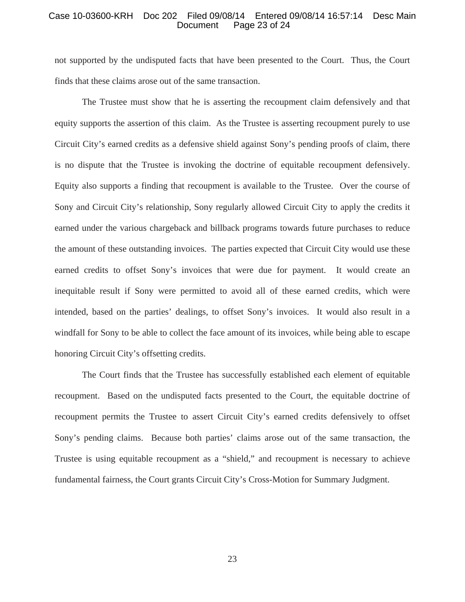#### Case 10-03600-KRH Doc 202 Filed 09/08/14 Entered 09/08/14 16:57:14 Desc Main Page 23 of 24

not supported by the undisputed facts that have been presented to the Court. Thus, the Court finds that these claims arose out of the same transaction.

 The Trustee must show that he is asserting the recoupment claim defensively and that equity supports the assertion of this claim. As the Trustee is asserting recoupment purely to use Circuit City's earned credits as a defensive shield against Sony's pending proofs of claim, there is no dispute that the Trustee is invoking the doctrine of equitable recoupment defensively. Equity also supports a finding that recoupment is available to the Trustee. Over the course of Sony and Circuit City's relationship, Sony regularly allowed Circuit City to apply the credits it earned under the various chargeback and billback programs towards future purchases to reduce the amount of these outstanding invoices. The parties expected that Circuit City would use these earned credits to offset Sony's invoices that were due for payment. It would create an inequitable result if Sony were permitted to avoid all of these earned credits, which were intended, based on the parties' dealings, to offset Sony's invoices. It would also result in a windfall for Sony to be able to collect the face amount of its invoices, while being able to escape honoring Circuit City's offsetting credits.

 The Court finds that the Trustee has successfully established each element of equitable recoupment. Based on the undisputed facts presented to the Court, the equitable doctrine of recoupment permits the Trustee to assert Circuit City's earned credits defensively to offset Sony's pending claims. Because both parties' claims arose out of the same transaction, the Trustee is using equitable recoupment as a "shield," and recoupment is necessary to achieve fundamental fairness, the Court grants Circuit City's Cross-Motion for Summary Judgment.